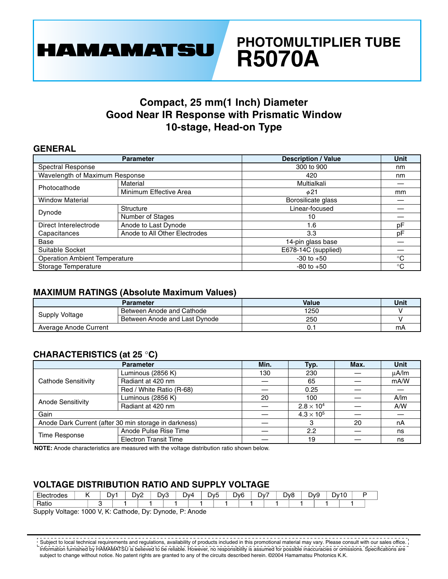

# **PHOTOMULTIPLIER TUBE R5070A**

### **Compact, 25 mm(1 Inch) Diameter Good Near IR Response with Prismatic Window 10-stage, Head-on Type**

#### **GENERAL**

|                                      | <b>Parameter</b>              | <b>Description / Value</b> | Unit        |
|--------------------------------------|-------------------------------|----------------------------|-------------|
| Spectral Response                    |                               | 300 to 900                 | nm          |
| Wavelength of Maximum Response       |                               | 420                        | nm          |
| Photocathode                         | Material                      | Multialkali                |             |
|                                      | Minimum Effective Area        | $\phi$ 21                  | mm          |
| <b>Window Material</b>               |                               | Borosilicate glass         |             |
| Dynode                               | Structure                     | Linear-focused             |             |
|                                      | Number of Stages              | 10                         |             |
| Direct Interelectrode                | Anode to Last Dynode          | 1.6                        | pF          |
| Capacitances                         | Anode to All Other Electrodes | 3.3                        | pF          |
| Base                                 |                               | 14-pin glass base          |             |
| Suitable Socket                      |                               | E678-14C (supplied)        |             |
| <b>Operation Ambient Temperature</b> |                               | $-30$ to $+50$             | $^{\circ}C$ |
| Storage Temperature                  |                               | $-80$ to $+50$             | $^{\circ}C$ |

#### **MAXIMUM RATINGS (Absolute Maximum Values)**

|                       | Parameter                     | <b>Value</b> | Unit |
|-----------------------|-------------------------------|--------------|------|
| Supply Voltage        | Between Anode and Cathode     | 1250         |      |
|                       | Between Anode and Last Dynode | 250          |      |
| Average Anode Current |                               |              | mA   |

### **CHARACTERISTICS (at 25** °**C)**

|                                                       | <b>Parameter</b>             | Min. | Typ.                | Max. | Unit  |
|-------------------------------------------------------|------------------------------|------|---------------------|------|-------|
| Cathode Sensitivity                                   | Luminous (2856 K)            | 130  | 230                 |      | uA/lm |
|                                                       | Radiant at 420 nm            |      | 65                  |      | mA/W  |
|                                                       | Red / White Ratio (R-68)     |      | 0.25                |      |       |
| Anode Sensitivity                                     | Luminous (2856 K)            | 20   | 100                 |      | A/m   |
|                                                       | Radiant at 420 nm            |      | $2.8 \times 10^4$   |      | A/W   |
| Gain                                                  |                              |      | $4.3 \times 10^{5}$ |      |       |
| Anode Dark Current (after 30 min storage in darkness) |                              |      |                     | 20   | nA    |
| Time Response                                         | Anode Pulse Rise Time        |      | 2.2                 |      | ns    |
|                                                       | <b>Electron Transit Time</b> |      | 19                  |      | ns    |

**NOTE:** Anode characteristics are measured with the voItage distribution ratio shown below.

#### **VOLTAGE DlSTRlBUTlON RATlO AND SUPPLY VOLTAGE**

| -<br>oue.        | -<br>־∨ט | י∨ט<br>. | -<br>יע. | - | ∆0∨ | -<br>-<br>)v5 | $\overline{\phantom{a}}$<br>◡ | )v6 | -<br>Dv<br> | $\overline{\phantom{0}}$<br>יאנ.<br>- | - | DVS<br>- | Dv.<br>. . | -<br>J. |  |
|------------------|----------|----------|----------|---|-----|---------------|-------------------------------|-----|-------------|---------------------------------------|---|----------|------------|---------|--|
| $D0$ ti<br>Hatic |          |          |          |   |     |               |                               |     |             |                                       |   |          |            |         |  |

SuppIy Voltage: 1000 V, K: Cathode, Dy: Dynode, P: Anode

Subject to local technical requirements and regulations, availability of products included in this promotional material may vary. Please consult with our sales office. Information furnished by HAMAMATSU is believed to be reliable. However, no responsibility is assumed for possible inaccuracies or omissions. Specifications are subject to change without notice. No patent rights are granted to any of the circuits described herein. ©2004 Hamamatsu Photonics K.K.